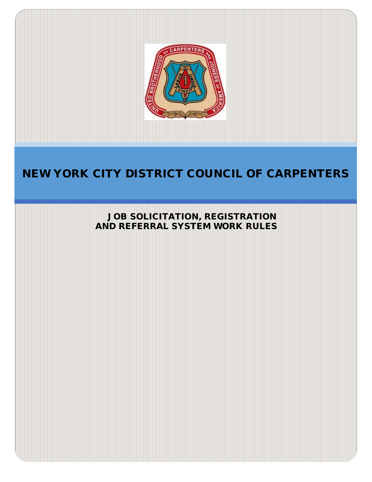

# NEW YORK CITY DISTRICT COUNCIL OF CARPENTERS

JOB SOLICITATION, REGISTRATION AND REFERRAL SYSTEM WORK RULES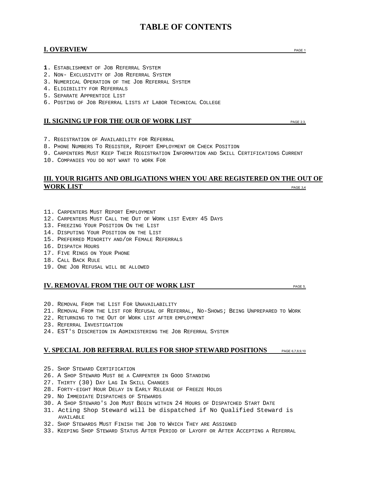# **TABLE OF CONTENTS**

# **I. OVERVIEW PAGE 1**

- **1**. ESTABLISHMENT OF JOB REFERRAL SYSTEM
- 2. NON- EXCLUSIVITY OF JOB REFERRAL SYSTEM
- 3. NUMERICAL OPERATION OF THE JOB REFERRAL SYSTEM
- 4. ELIGIBILITY FOR REFERRALS
- 5. SEPARATE APPRENTICE LIST
- 6. POSTING OF JOB REFERRAL LISTS AT LABOR TECHNICAL COLLEGE

# **II. SIGNING UP FOR THE OUR OF WORK LIST**

- 7. REGISTRATION OF AVAILABILITY FOR REFERRAL
- 8. PHONE NUMBERS TO REGISTER, REPORT EMPLOYMENT OR CHECK POSITION
- 9. CARPENTERS MUST KEEP THEIR REGISTRATION INFORMATION AND SKILL CERTIFICATIONS CURRENT
- 10. COMPANIES YOU DO NOT WANT TO WORK FOR

# **III. YOUR RIGHTS AND OBLIGATIONS WHEN YOU ARE REGISTERED ON THE OUT OF WORK LIST PAGE 3,4**

- 11. CARPENTERS MUST REPORT EMPLOYMENT
- 12. CARPENTERS MUST CALL THE OUT OF WORK LIST EVERY 45 DAYS
- 13. FREEZING YOUR POSITION ON THE LIST
- 14. DISPUTING YOUR POSITION ON THE LIST
- 15. PREFERRED MINORITY AND/OR FEMALE REFERRALS
- 16. DISPATCH HOURS
- 17. FIVE RINGS ON YOUR PHONE
- 18. CALL BACK RULE
- 19. ONE JOB REFUSAL WILL BE ALLOWED

# **IV. REMOVAL FROM THE OUT OF WORK LIST**

- 20. REMOVAL FROM THE LIST FOR UNAVAILABILITY
- 21. REMOVAL FROM THE LIST FOR REFUSAL OF REFERRAL, NO-SHOWS; BEING UNPREPARED TO WORK
- 22. RETURNING TO THE OUT OF WORK LIST AFTER EMPLOYMENT
- 23. REFERRAL INVESTIGATION
- 24. EST'S DISCRETION IN ADMINISTERING THE JOB REFERRAL SYSTEM

# **V. SPECIAL JOB REFERRAL RULES FOR SHOP STEWARD POSITIONS** PAGE 6,7,8,9,10

- 25. SHOP STEWARD CERTIFICATION
- 26. A SHOP STEWARD MUST BE A CARPENTER IN GOOD STANDING
- 27. THIRTY (30) DAY LAG IN SKILL CHANGES
- 28. FORTY-EIGHT HOUR DELAY IN EARLY RELEASE OF FREEZE HOLDS
- 29. NO IMMEDIATE DISPATCHES OF STEWARDS
- 30. A SHOP STEWARD'S JOB MUST BEGIN WITHIN 24 HOURS OF DISPATCHED START DATE
- 31. Acting Shop Steward will be dispatched if No Qualified Steward is AVAILABLE
- 32. SHOP STEWARDS MUST FINISH THE JOB TO WHICH THEY ARE ASSIGNED
- 33. KEEPING SHOP STEWARD STATUS AFTER PERIOD OF LAYOFF OR AFTER ACCEPTING A REFERRAL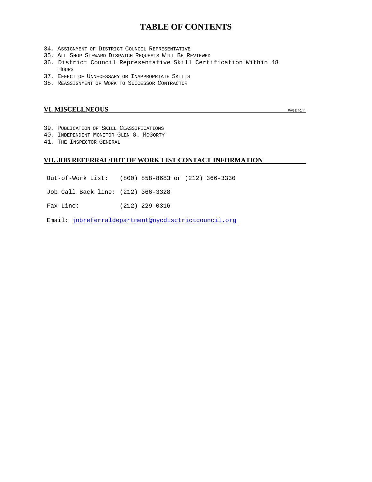# **TABLE OF CONTENTS**

- 34. ASSIGNMENT OF DISTRICT COUNCIL REPRESENTATIVE
- 35. ALL SHOP STEWARD DISPATCH REQUESTS WILL BE REVIEWED
- 36. District Council Representative Skill Certification Within 48 HOURS
- 37. EFFECT OF UNNECESSARY OR INAPPROPRIATE SKILLS
- 38. REASSIGNMENT OF WORK TO SUCCESSOR CONTRACTOR

# **VI. MISCELLNEOUS PAGE 10,11**

- 39. PUBLICATION OF SKILL CLASSIFICATIONS
- 40. INDEPENDENT MONITOR GLEN G. MCGORTY
- 41. THE INSPECTOR GENERAL

# **VII. JOB REFERRAL/OUT OF WORK LIST CONTACT INFORMATION**

- Out-of-Work List: (800) 858-8683 or (212) 366-3330
- Job Call Back line: (212) 366-3328
- Fax Line: (212) 229-0316

Email: [jobreferraldepartment@nycdisctrictcouncil.org](mailto:jobreferraldepartment@nycdisctrictcouncil.org)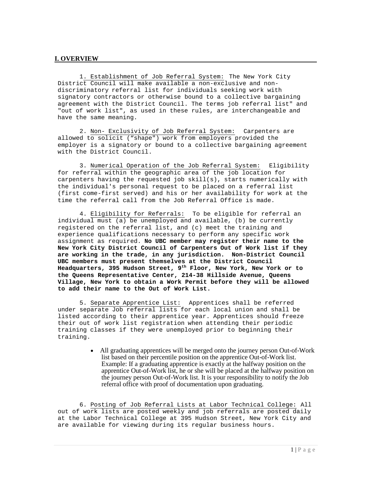# **I. OVERVIEW**

1. Establishment of Job Referral System: The New York City District Council will make available a non-exclusive and nondiscriminatory referral list for individuals seeking work with signatory contractors or otherwise bound to a collective bargaining agreement with the District Council. The terms job referral list" and "out of work list", as used in these rules, are interchangeable and have the same meaning.

2. Non- Exclusivity of Job Referral System: Carpenters are allowed to solicit ("shape") work from employers provided the employer is a signatory or bound to a collective bargaining agreement with the District Council.

3. Numerical Operation of the Job Referral System: Eligibility for referral within the geographic area of the job location for carpenters having the requested job skill(s), starts numerically with the individual's personal request to be placed on a referral list (first come-first served) and his or her availability for work at the time the referral call from the Job Referral Office is made.

4. Eligibility for Referrals: To be eligible for referral an individual must (a) be unemployed and available, (b) be currently registered on the referral list, and (c) meet the training and experience qualifications necessary to perform any specific work assignment as required. **No UBC member may register their name to the New York City District Council of Carpenters Out of Work list if they are working in the trade, in any jurisdiction. Non-District Council UBC members must present themselves at the District Council Headquarters, 395 Hudson Street, 9th Floor, New York, New York or to the Queens Representative Center, 214-38 Hillside Avenue, Queens Village, New York to obtain a Work Permit before they will be allowed to add their name to the Out of Work List.**

5. Separate Apprentice List: Apprentices shall be referred under separate Job referral lists for each local union and shall be listed according to their apprentice year. Apprentices should freeze their out of work list registration when attending their periodic training classes if they were unemployed prior to beginning their training.

> • All graduating apprentices will be merged onto the journey person Out-of-Work list based on their percentile position on the apprentice Out-of-Work list. Example: If a graduating apprentice is exactly at the halfway position on the apprentice Out-of-Work list, he or she will be placed at the halfway position on the journey person Out-of-Work list. It is your responsibility to notify the Job referral office with proof of documentation upon graduating.

6. Posting of Job Referral Lists at Labor Technical College: All out of work lists are posted weekly and job referrals are posted daily at the Labor Technical College at 395 Hudson Street, New York City and are available for viewing during its regular business hours.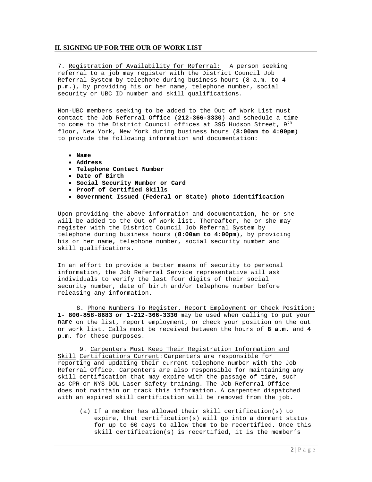# **II. SIGNING UP FOR THE OUR OF WORK LIST**

7. Registration of Availability for Referral: A person seeking referral to a job may register with the District Council Job Referral System by telephone during business hours (8 a.m. to 4 p.m.), by providing his or her name, telephone number, social security or UBC ID number and skill qualifications.

Non-UBC members seeking to be added to the Out of Work List must contact the Job Referral Office (**212-366-3330**) and schedule a time to come to the District Council offices at 395 Hudson Street,  $9^{th}$ floor, New York, New York during business hours (**8:00am to 4:00pm**) to provide the following information and documentation:

- **Name**
- **Address**
- **Telephone Contact Number**
- **Date of Birth**
- **Social Security Number or Card**
- **Proof of Certified Skills**
- **Government Issued (Federal or State) photo identification**

Upon providing the above information and documentation, he or she will be added to the Out of Work list. Thereafter, he or she may register with the District Council Job Referral System by telephone during business hours (**8:00am to 4:00pm**), by providing his or her name, telephone number, social security number and skill qualifications.

In an effort to provide a better means of security to personal information, the Job Referral Service representative will ask individuals to verify the last four digits of their social security number, date of birth and/or telephone number before releasing any information.

8. Phone Numbers To Register, Report Employment or Check Position: **1- 800-858-8683 or 1-212-366-3330** may be used when calling to put your name on the list, report employment, or check your position on the out or work list. Calls must be received between the hours of **8 a.m**. and **4 p.m**. for these purposes.

9. Carpenters Must Keep Their Registration Information and Skill Certifications Current: Carpenters are responsible for reporting and updating their current telephone number with the Job Referral Office. Carpenters are also responsible for maintaining any skill certification that may expire with the passage of time, such as CPR or NYS-DOL Laser Safety training. The Job Referral Office does not maintain or track this information. A carpenter dispatched with an expired skill certification will be removed from the job.

(a) If a member has allowed their skill certification(s) to expire, that certification(s) will go into a dormant status for up to 60 days to allow them to be recertified. Once this skill certification(s) is recertified, it is the member's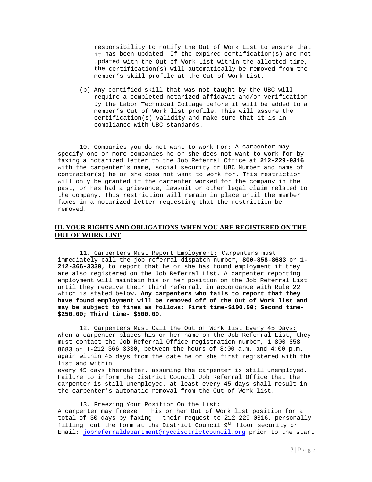responsibility to notify the Out of Work List to ensure that it has been updated. If the expired certification(s) are not updated with the Out of Work List within the allotted time, the certification(s) will automatically be removed from the member's skill profile at the Out of Work List.

(b) Any certified skill that was not taught by the UBC will require a completed notarized affidavit and/or verification by the Labor Technical Collage before it will be added to a member's Out of Work list profile. This will assure the certification(s) validity and make sure that it is in compliance with UBC standards.

10. Companies you do not want to work For: A carpenter may specify one or more companies he or she does not want to work for by faxing a notarized letter to the Job Referral Office at **212-229-0316** with the carpenter's name, social security or UBC Number and name of contractor(s) he or she does not want to work for. This restriction will only be granted if the carpenter worked for the company in the past, or has had a grievance, lawsuit or other legal claim related to the company. This restriction will remain in place until the member faxes in a notarized letter requesting that the restriction be removed.

# **III. YOUR RIGHTS AND OBLIGATIONS WHEN YOU ARE REGISTERED ON THE OUT OF WORK LIST**

11. Carpenters Must Report Employment: Carpenters must immediately call the job referral dispatch number, **800-858-8683** or **1- 212-366-3330**, to report that he or she has found employment if they are also registered on the Job Referral List. A carpenter reporting employment will maintain his or her position on the Job Referral List until they receive their third referral, in accordance with Rule 22 which is stated below. **Any carpenters who fails to report that they have found employment will be removed off of the Out of Work list and may be subject to fines as follows: First time-\$100.00; Second time- \$250.00; Third time- \$500.00.**

12. Carpenters Must Call the Out of Work list Every 45 Days: When a carpenter places his or her name on the Job Referral List, they must contact the Job Referral Office registration number, 1-800-858- 8683 or 1-212-366-3330, between the hours of 8:00 a.m. and 4:00 p.m. again within 45 days from the date he or she first registered with the list and within

every 45 days thereafter, assuming the carpenter is still unemployed. Failure to inform the District Council Job Referral Office that the carpenter is still unemployed, at least every 45 days shall result in the carpenter's automatic removal from the Out of Work list.

# 13. Freezing Your Position On the List:

A carpenter may freeze his or her Out of Work list position for a total of 30 days by faxing their request to 212-229-0316, personally filling out the form at the District Council  $9^{th}$  floor security or Email: jobreferraldepartment@nycdisctrictcouncil.org prior to the start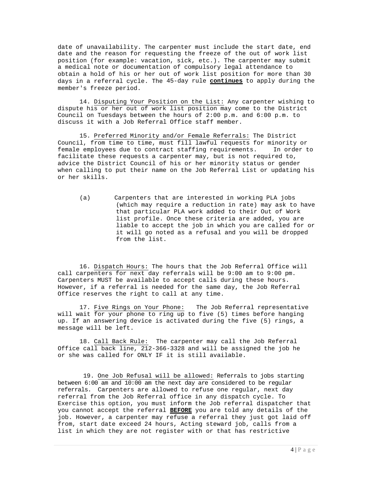date of unavailability. The carpenter must include the start date, end date and the reason for requesting the freeze of the out of work list position (for example: vacation, sick, etc.). The carpenter may submit a medical note or documentation of compulsory legal attendance to obtain a hold of his or her out of work list position for more than 30 days in a referral cycle. The 45-day rule **continues** to apply during the member's freeze period.

14. Disputing Your Position on the List: Any carpenter wishing to dispute his or her out of work list position may come to the District Council on Tuesdays between the hours of 2:00 p.m. and 6:00 p.m. to discuss it with a Job Referral Office staff member.

15. Preferred Minority and/or Female Referrals: The District Council, from time to time, must fill lawful requests for minority or<br>female emplovees due to contract staffing requirements. In order to female employees due to contract staffing requirements. facilitate these requests a carpenter may, but is not required to, advice the District Council of his or her minority status or gender when calling to put their name on the Job Referral List or updating his or her skills.

(a) Carpenters that are interested in working PLA jobs (which may require a reduction in rate) may ask to have that particular PLA work added to their Out of Work list profile. Once these criteria are added, you are liable to accept the job in which you are called for or it will go noted as a refusal and you will be dropped from the list.

16. Dispatch Hours: The hours that the Job Referral Office will call carpenters for next day referrals will be 9:00 am to 9:00 pm. Carpenters MUST be available to accept calls during these hours. However, if a referral is needed for the same day, the Job Referral Office reserves the right to call at any time.

17. Five Rings on Your Phone: The Job Referral representative will wait for your phone to ring up to five (5) times before hanging up. If an answering device is activated during the five (5) rings, a message will be left.

18. Call Back Rule: The carpenter may call the Job Referral Office call back line, 212-366-3328 and will be assigned the job he or she was called for ONLY IF it is still available.

19. One Job Refusal will be allowed: Referrals to jobs starting between 6:00 am and 10:00 am the next day are considered to be regular referrals. Carpenters are allowed to refuse one regular, next day referral from the Job Referral office in any dispatch cycle. To Exercise this option, you must inform the Job referral dispatcher that you cannot accept the referral **BEFORE** you are told any details of the job. However, a carpenter may refuse a referral they just got laid off from, start date exceed 24 hours, Acting steward job, calls from a list in which they are not register with or that has restrictive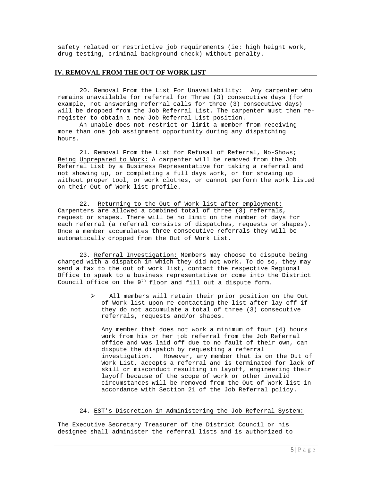safety related or restrictive job requirements (ie: high height work, drug testing, criminal background check) without penalty.

# **IV. REMOVAL FROM THE OUT OF WORK LIST**

20. Removal From the List For Unavailability: Any carpenter who remains unavailable for referral for Three (3) consecutive days (for example, not answering referral calls for three (3) consecutive days) will be dropped from the Job Referral List. The carpenter must then reregister to obtain a new Job Referral List position.

An unable does not restrict or limit a member from receiving more than one job assignment opportunity during any dispatching hours.

21. Removal From the List for Refusal of Referral, No-Shows; Being Unprepared to Work: A carpenter will be removed from the Job Referral List by a Business Representative for taking a referral and not showing up, or completing a full days work, or for showing up without proper tool, or work clothes, or cannot perform the work listed on their Out of Work list profile.

22. Returning to the Out of Work list after employment: Carpenters are allowed a combined total of three (3) referrals, request or shapes. There will be no limit on the number of days for each referral (a referral consists of dispatches, requests or shapes). Once a member accumulates three consecutive referrals they will be automatically dropped from the Out of Work List.

23. Referral Investigation: Members may choose to dispute being charged with a dispatch in which they did not work. To do so, they may send a fax to the out of work list, contact the respective Regional Office to speak to a business representative or come into the District Council office on the  $9<sup>th</sup>$  floor and fill out a dispute form.

> All members will retain their prior position on the Out of Work list upon re-contacting the list after lay-off if they do not accumulate a total of three (3) consecutive referrals, requests and/or shapes.

Any member that does not work a minimum of four (4) hours work from his or her job referral from the Job Referral office and was laid off due to no fault of their own, can dispute the dispatch by requesting a referral investigation. However, any member that is on the Out of Work List, accepts a referral and is terminated for lack of skill or misconduct resulting in layoff, engineering their layoff because of the scope of work or other invalid circumstances will be removed from the Out of Work list in accordance with Section 21 of the Job Referral policy.

#### 24. EST's Discretion in Administering the Job Referral System:

The Executive Secretary Treasurer of the District Council or his designee shall administer the referral lists and is authorized to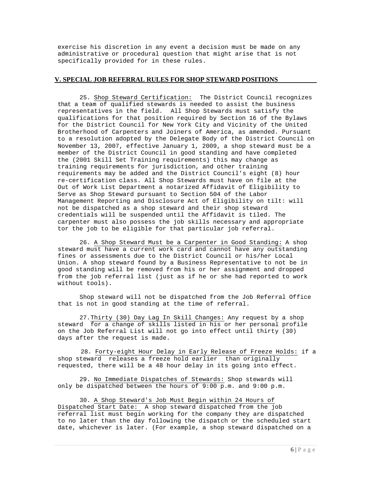exercise his discretion in any event a decision must be made on any administrative or procedural question that might arise that is not specifically provided for in these rules.

# **V. SPECIAL JOB REFERRAL RULES FOR SHOP STEWARD POSITIONS**

25. Shop Steward Certification: The District Council recognizes that a team of qualified stewards is needed to assist the business representatives in the field. All Shop Stewards must satisfy the qualifications for that position required by Section 16 of the Bylaws for the District Council for New York City and Vicinity of the United Brotherhood of Carpenters and Joiners of America, as amended. Pursuant to a resolution adopted by the Delegate Body of the District Council on November 13, 2007, effective January 1, 2009, a shop steward must be a member of the District Council in good standing and have completed the (2001 Skill Set Training requirements) this may change as training requirements for jurisdiction, and other training requirements may be added and the District Council's eight (8) hour re-certification class. All Shop Stewards must have on file at the Out of Work List Department a notarized Affidavit of Eligibility to Serve as Shop Steward pursuant to Section 504 of the Labor Management Reporting and Disclosure Act of Eligibility on tilt: will not be dispatched as a shop steward and their shop steward credentials will be suspended until the Affidavit is tiled. The carpenter must also possess the job skills necessary and appropriate tor the job to be eligible for that particular job referral.

26. A Shop Steward Must be a Carpenter in Good Standing: A shop steward must have a current work card and cannot have any outstanding fines or assessments due to the District Council or his/her Local Union. A shop steward found by a Business Representative to not be in good standing will be removed from his or her assignment and dropped from the job referral list (just as if he or she had reported to work without tools).

Shop steward will not be dispatched from the Job Referral Office that is not in good standing at the time of referral.

27.Thirty (30) Day Lag In Skill Changes: Any request by a shop steward for a change of skills listed in his or her personal profile on the Job Referral List will not go into effect until thirty (30) days after the request is made.

 28. Forty-eight Hour Delay in Early Release of Freeze Holds: if a shop steward releases a freeze hold earlier than originally requested, there will be a 48 hour delay in its going into effect.

29. No Immediate Dispatches of Stewards: Shop stewards will only be dispatched between the hours of  $9:00$  p.m. and  $9:00$  p.m.

30. A Shop Steward's Job Must Begin within 24 Hours of Dispatched Start Date: A shop steward dispatched from the job referral list must begin working for the company they are dispatched to no later than the day following the dispatch or the scheduled start date, whichever is later. (For example, a shop steward dispatched on a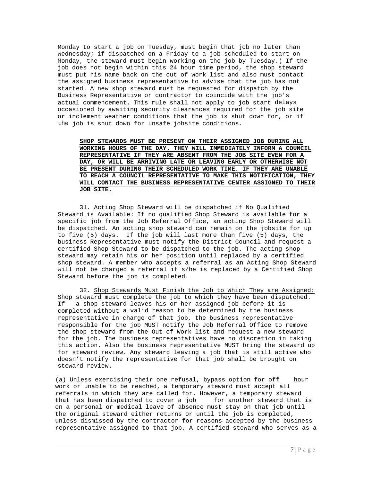Monday to start a job on Tuesday, must begin that job no later than Wednesday; if dispatched on a Friday to a job scheduled to start on Monday, the steward must begin working on the job by Tuesday.) If the job does not begin within this 24 hour time period, the shop steward must put his name back on the out of work list and also must contact the assigned business representative to advise that the job has not started. A new shop steward must be requested for dispatch by the Business Representative or contractor to coincide with the job's actual commencement. This rule shall not apply to job start delays occasioned by awaiting security clearances required for the job site or inclement weather conditions that the job is shut down for, or if the job is shut down for unsafe jobsite conditions.

**SHOP STEWARDS MUST BE PRESENT ON THEIR ASSIGNED JOB DURING ALL WORKING HOURS OF THE DAY. THEY WILL IMMEDIATELY INFORM A COUNCIL REPRESENTATIVE IF THEY ARE ABSENT FROM THE JOB SITE EVEN FOR A DAY, OR WILL BE ARRIVING LATE OR LEAVING EARLY OR OTHERWISE NOT BE PRESENT DURING THEIR SCHEDULED WORK TIME. IF THEY ARE UNABLE TO REACH A COUNCIL REPRESENTATIVE TO MAKE THIS NOTIFICATION, THEY WILL CONTACT THE BUSINESS REPRESENTATIVE CENTER ASSIGNED TO THEIR JOB SITE.**

31. Acting Shop Steward will be dispatched if No Qualified Steward is Available: If no qualified Shop Steward is available for a specific job from the Job Referral Office, an acting Shop Steward will be dispatched. An acting shop steward can remain on the jobsite for up to five (5) days. If the job will last more than five (5) days, the business Representative must notify the District Council and request a certified Shop Steward to be dispatched to the job. The acting shop steward may retain his or her position until replaced by a certified shop steward. A member who accepts a referral as an Acting Shop Steward will not be charged a referral if s/he is replaced by a Certified Shop Steward before the job is completed.

32. Shop Stewards Must Finish the Job to Which They are Assigned: Shop steward must complete the job to which they have been dispatched.<br>If a shop steward leaves his or her assigned job before it is a shop steward leaves his or her assigned job before it is completed without a valid reason to be determined by the business representative in charge of that job, the business representative responsible for the job MUST notify the Job Referral Office to remove the shop steward from the Out of Work list and request a new steward for the job. The business representatives have no discretion in taking this action. Also the business representative MUST bring the steward up for steward review. Any steward leaving a job that is still active who doesn't notify the representative for that job shall be brought on steward review.

(a) Unless exercising their one refusal, bypass option for off hour work or unable to be reached, a temporary steward must accept all referrals in which they are called for. However, a temporary steward that has been dispatched to cover a job for another steward that is on a personal or medical leave of absence must stay on that job until the original steward either returns or until the job is completed, unless dismissed by the contractor for reasons accepted by the business representative assigned to that job. A certified steward who serves as a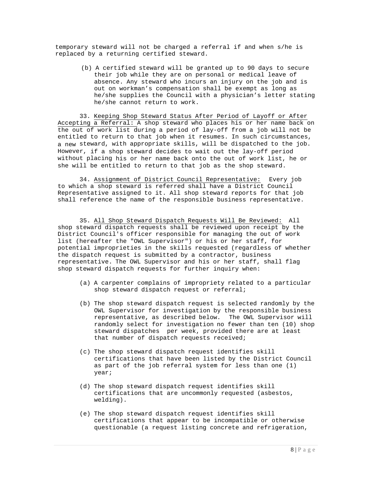temporary steward will not be charged a referral if and when s/he is replaced by a returning certified steward.

> (b) A certified steward will be granted up to 90 days to secure their job while they are on personal or medical leave of absence. Any steward who incurs an injury on the job and is out on workman's compensation shall be exempt as long as he/she supplies the Council with a physician's letter stating he/she cannot return to work.

33. Keeping Shop Steward Status After Period of Layoff or After Accepting a Referral: A shop steward who places his or her name back on the out of work list during a period of lay-off from a job will not be entitled to return to that job when it resumes. In such circumstances, a new steward, with appropriate skills, will be dispatched to the job. However, if a shop steward decides to wait out the lay-off period without placing his or her name back onto the out of work list, he or she will be entitled to return to that job as the shop steward.

34. Assignment of District Council Representative: Every job to which a shop steward is referred shall have a District Council Representative assigned to it. All shop steward reports for that job shall reference the name of the responsible business representative.

35. All Shop Steward Dispatch Requests Will Be Reviewed: All shop steward dispatch requests shall be reviewed upon receipt by the District Council's officer responsible for managing the out of work list (hereafter the "OWL Supervisor") or his or her staff, for potential improprieties in the skills requested (regardless of whether the dispatch request is submitted by a contractor, business representative. The OWL Supervisor and his or her staff, shall flag shop steward dispatch requests for further inquiry when:

- (a) A carpenter complains of impropriety related to a particular shop steward dispatch request or referral;
- (b) The shop steward dispatch request is selected randomly by the OWL Supervisor for investigation by the responsible business representative, as described below. The OWL Supervisor will randomly select for investigation no fewer than ten (10) shop steward dispatches per week, provided there are at least that number of dispatch requests received;
- (c) The shop steward dispatch request identifies skill certifications that have been listed by the District Council as part of the job referral system for less than one (1) year;
- (d) The shop steward dispatch request identifies skill certifications that are uncommonly requested (asbestos, welding).
- (e) The shop steward dispatch request identifies skill certifications that appear to be incompatible or otherwise questionable (a request listing concrete and refrigeration,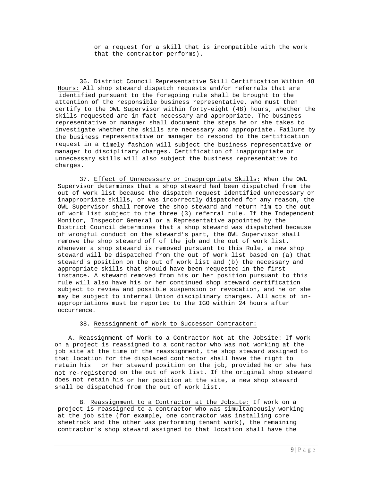or a request for a skill that is incompatible with the work that the contractor performs).

36. District Council Representative Skill Certification Within 48 Hours: All shop steward dispatch requests and/or referrals that are identified pursuant to the foregoing rule shall be brought to the attention of the responsible business representative, who must then certify to the OWL Supervisor within forty-eight (48) hours, whether the skills requested are in fact necessary and appropriate. The business representative or manager shall document the steps he or she takes to investigate whether the skills are necessary and appropriate. Failure by the business representative or manager to respond to the certification request in a timely fashion will subject the business representative or manager to disciplinary charges. Certification of inappropriate or unnecessary skills will also subject the business representative to charges.

37. Effect of Unnecessary or Inappropriate Skills: When the OWL Supervisor determines that a shop steward had been dispatched from the out of work list because the dispatch request identified unnecessary or inappropriate skills, or was incorrectly dispatched for any reason, the OWL Supervisor shall remove the shop steward and return him to the out of work list subject to the three (3) referral rule. If the Independent Monitor, Inspector General or a Representative appointed by the District Council determines that a shop steward was dispatched because of wrongful conduct on the steward's part, the OWL Supervisor shall remove the shop steward off of the job and the out of work list. Whenever a shop steward is removed pursuant to this Rule, a new shop steward will be dispatched from the out of work list based on (a) that steward's position on the out of work list and (b) the necessary and appropriate skills that should have been requested in the first instance. A steward removed from his or her position pursuant to this rule will also have his or her continued shop steward certification subject to review and possible suspension or revocation, and he or she may be subject to internal Union disciplinary charges. All acts of inappropriations must be reported to the IGO within 24 hours after occurrence.

#### 38. Reassignment of Work to Successor Contractor:

A. Reassignment of Work to a Contractor Not at the Jobsite: If work on a project is reassigned to a contractor who was not working at the job site at the time of the reassignment, the shop steward assigned to that location for the displaced contractor shall have the right to<br>retain his or her steward position on the job, provided he or she or her steward position on the job, provided he or she has not re-registered on the out of work list. If the original shop steward does not retain his or her position at the site, a new shop steward shall be dispatched from the out of work list.

B. Reassignment to a Contractor at the Jobsite: If work on a project is reassigned to a contractor who was simultaneously working at the job site (for example, one contractor was installing core sheetrock and the other was performing tenant work), the remaining contractor's shop steward assigned to that location shall have the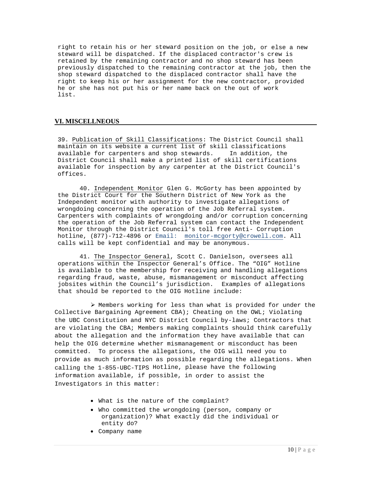right to retain his or her steward position on the job, or else a new steward will be dispatched. If the displaced contractor's crew is retained by the remaining contractor and no shop steward has been previously dispatched to the remaining contractor at the job, then the shop steward dispatched to the displaced contractor shall have the right to keep his or her assignment for the new contractor, provided he or she has not put his or her name back on the out of work list.

# **VI. MISCELLNEOUS**

39. Publication of Skill Classifications: The District Council shall maintain on its website a current list of skill classifications<br>available for carpenters and shop stewards. In addition, the available for carpenters and shop stewards. District Council shall make a printed list of skill certifications available for inspection by any carpenter at the District Council's offices.

40. Independent Monitor Glen G. McGorty has been appointed by the District Court for the Southern District of New York as the Independent monitor with authority to investigate allegations of wrongdoing concerning the operation of the Job Referral system. Carpenters with complaints of wrongdoing and/or corruption concerning the operation of the Job Referral system can contact the Independent Monitor through the District Council's toll free Anti- Corruption hotline, (877)-712-4896 or Email: monitor-mcgorty@crowell.com. All calls will be kept confidential and may be anonymous.

41. The Inspector General, Scott C. Danielson, oversees all operations within the Inspector General's Office. The "OIG" Hotline is available to the membership for receiving and handling allegations regarding fraud, waste, abuse, mismanagement or misconduct affecting jobsites within the Council's jurisdiction. Examples of allegations that should be reported to the OIG Hotline include:

 $\triangleright$  Members working for less than what is provided for under the Collective Bargaining Agreement CBA); Cheating on the OWL; Violating the UBC Constitution and NYC District Council by-laws; Contractors that are violating the CBA; Members making complaints should think carefully about the allegation and the information they have available that can help the OIG determine whether mismanagement or misconduct has been committed. To process the allegations, the OIG will need you to provide as much information as possible regarding the allegations. When calling the 1-855-UBC-TIPS Hotline, please have the following information available, if possible, in order to assist the Investigators in this matter:

- What is the nature of the complaint?
- Who committed the wrongdoing (person, company or organization)? What exactly did the individual or entity do?
- Company name